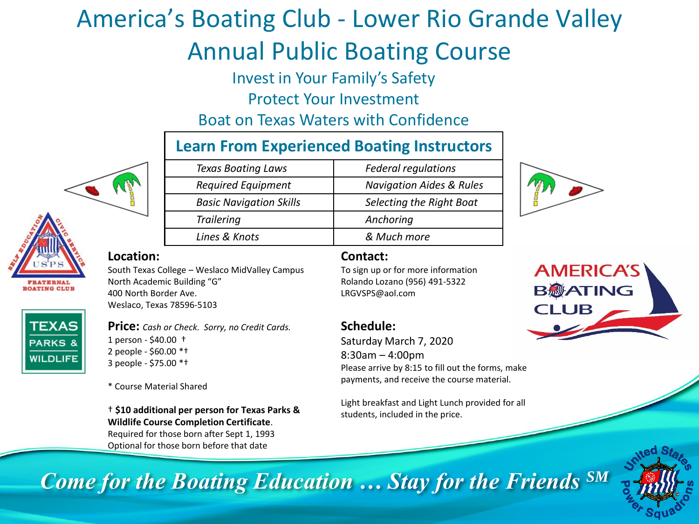# America's Boating Club - Lower Rio Grande Valley Annual Public Boating Course

Invest in Your Family's Safety

Protect Your Investment

Boat on Texas Waters with Confidence

## **Learn From Experienced Boating Instructors**

| <b>Texas Boating Laws</b>      | <b>Federal regulations</b>          |
|--------------------------------|-------------------------------------|
| <b>Required Equipment</b>      | <b>Navigation Aides &amp; Rules</b> |
| <b>Basic Navigation Skills</b> | Selecting the Right Boat            |
| <b>Trailering</b>              | Anchoring                           |
| Lines & Knots                  | & Much more                         |
|                                |                                     |



#### **Location:**

**TERNAL** 

**DATING CLUB** 

**TEXAS PARKS 8 WILDLIFE** 

South Texas College – Weslaco MidValley Campus North Academic Building "G" 400 North Border Ave. Weslaco, Texas 78596-5103

**Price:** *Cash or Check. Sorry, no Credit Cards.* 1 person - \$40.00 † 2 people - \$60.00 \*† 3 people - \$75.00 \*†

\* Course Material Shared

† **\$10 additional per person for Texas Parks & Wildlife Course Completion Certificate**.

Required for those born after Sept 1, 1993 Optional for those born before that date

#### **Contact:**

To sign up or for more information Rolando Lozano (956) 491-5322 LRGVSPS@aol.com

#### **Schedule:**

Saturday March 7, 2020 8:30am – 4:00pm Please arrive by 8:15 to fill out the forms, make payments, and receive the course material.

Light breakfast and Light Lunch provided for all students, included in the price.





*Come for the Boating Education … Stay for the Friends SM*